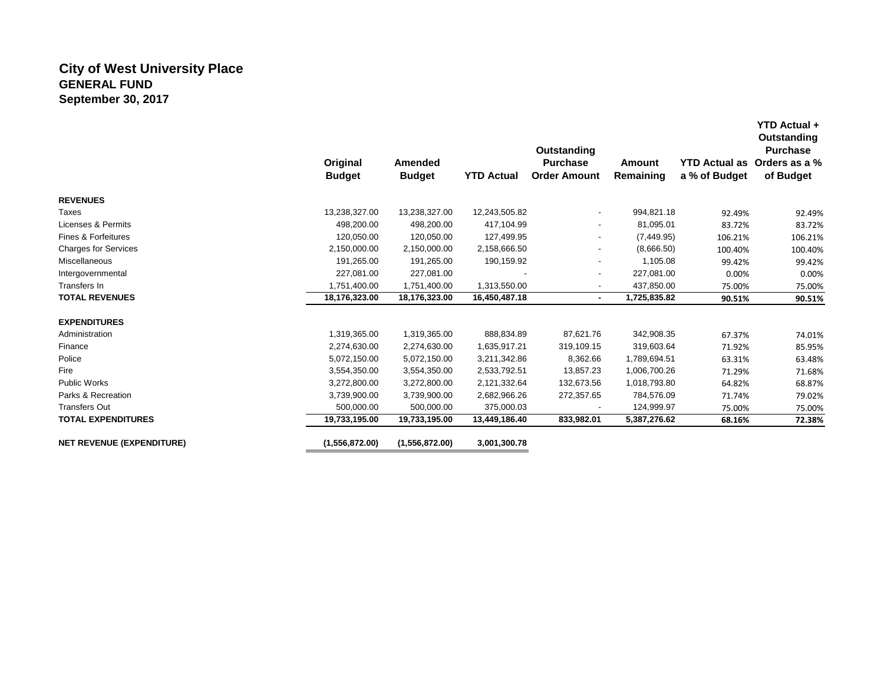# **City of West University Place GENERAL FUND September 30, 2017**

|                                  |                           |                          |                   | Outstanding                            |                     |                                       | Outstanding<br><b>Purchase</b> |
|----------------------------------|---------------------------|--------------------------|-------------------|----------------------------------------|---------------------|---------------------------------------|--------------------------------|
|                                  | Original<br><b>Budget</b> | Amended<br><b>Budget</b> | <b>YTD Actual</b> | <b>Purchase</b><br><b>Order Amount</b> | Amount<br>Remaining | <b>YTD Actual as</b><br>a % of Budget | Orders as a %<br>of Budget     |
| <b>REVENUES</b>                  |                           |                          |                   |                                        |                     |                                       |                                |
| <b>Taxes</b>                     | 13,238,327.00             | 13,238,327.00            | 12,243,505.82     | $\overline{\phantom{a}}$               | 994,821.18          | 92.49%                                | 92.49%                         |
| Licenses & Permits               | 498,200.00                | 498,200.00               | 417,104.99        | ۰.                                     | 81,095.01           | 83.72%                                | 83.72%                         |
| <b>Fines &amp; Forfeitures</b>   | 120,050.00                | 120,050.00               | 127,499.95        |                                        | (7,449.95)          | 106.21%                               | 106.21%                        |
| <b>Charges for Services</b>      | 2,150,000.00              | 2,150,000.00             | 2,158,666.50      |                                        | (8,666.50)          | 100.40%                               | 100.40%                        |
| Miscellaneous                    | 191,265.00                | 191,265.00               | 190,159.92        |                                        | 1,105.08            | 99.42%                                | 99.42%                         |
| Intergovernmental                | 227,081.00                | 227,081.00               |                   | $\overline{\phantom{a}}$               | 227,081.00          | 0.00%                                 | 0.00%                          |
| Transfers In                     | 1,751,400.00              | 1,751,400.00             | 1,313,550.00      | ٠                                      | 437,850.00          | 75.00%                                | 75.00%                         |
| <b>TOTAL REVENUES</b>            | 18,176,323.00             | 18,176,323.00            | 16,450,487.18     | ٠.                                     | 1,725,835.82        | 90.51%                                | 90.51%                         |
| <b>EXPENDITURES</b>              |                           |                          |                   |                                        |                     |                                       |                                |
| Administration                   | 1,319,365.00              | 1,319,365.00             | 888,834.89        | 87,621.76                              | 342,908.35          | 67.37%                                | 74.01%                         |
| Finance                          | 2,274,630.00              | 2,274,630.00             | 1,635,917.21      | 319,109.15                             | 319,603.64          | 71.92%                                | 85.95%                         |
| Police                           | 5,072,150.00              | 5,072,150.00             | 3,211,342.86      | 8,362.66                               | 1,789,694.51        | 63.31%                                | 63.48%                         |
| Fire                             | 3,554,350.00              | 3,554,350.00             | 2,533,792.51      | 13,857.23                              | 1,006,700.26        | 71.29%                                | 71.68%                         |
| <b>Public Works</b>              | 3,272,800.00              | 3,272,800.00             | 2,121,332.64      | 132,673.56                             | 1,018,793.80        | 64.82%                                | 68.87%                         |
| Parks & Recreation               | 3,739,900.00              | 3,739,900.00             | 2,682,966.26      | 272,357.65                             | 784,576.09          | 71.74%                                | 79.02%                         |
| <b>Transfers Out</b>             | 500,000.00                | 500,000.00               | 375,000.03        |                                        | 124,999.97          | 75.00%                                | 75.00%                         |
| <b>TOTAL EXPENDITURES</b>        | 19,733,195.00             | 19,733,195.00            | 13,449,186.40     | 833,982.01                             | 5,387,276.62        | 68.16%                                | 72.38%                         |
| <b>NET REVENUE (EXPENDITURE)</b> | (1,556,872.00)            | (1,556,872.00)           | 3,001,300.78      |                                        |                     |                                       |                                |

**YTD Actual +**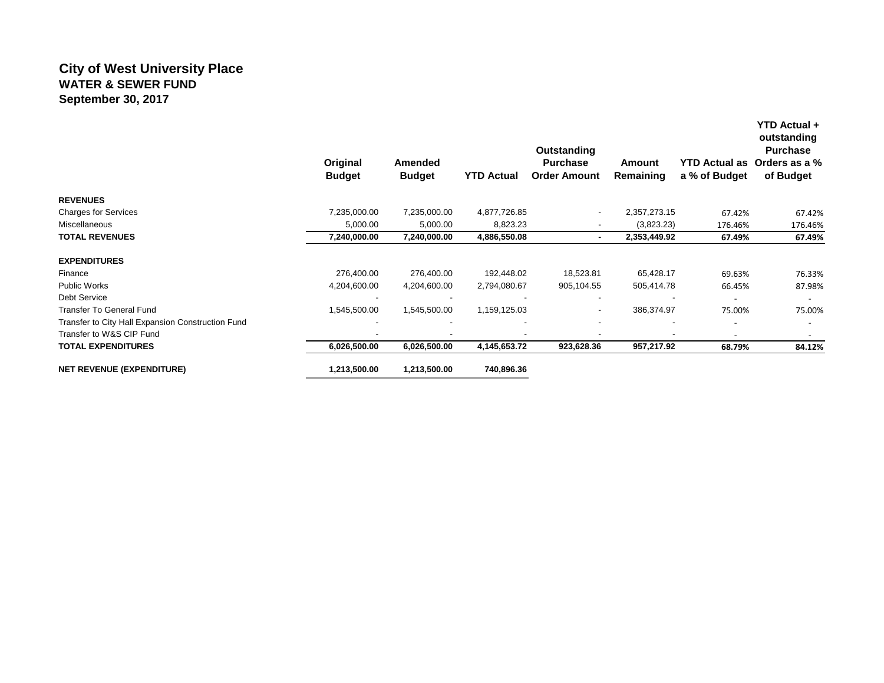#### **City of West University Place WATER & SEWER FUND September 30, 2017**

|                                                   | Original<br><b>Budget</b> | Amended<br><b>Budget</b> | <b>YTD Actual</b>        | Outstanding<br><b>Purchase</b><br><b>Order Amount</b> | Amount<br>Remaining      | <b>YTD Actual as</b><br>a % of Budget | YTD Actual +<br>outstanding<br><b>Purchase</b><br>Orders as a %<br>of Budget |
|---------------------------------------------------|---------------------------|--------------------------|--------------------------|-------------------------------------------------------|--------------------------|---------------------------------------|------------------------------------------------------------------------------|
| <b>REVENUES</b>                                   |                           |                          |                          |                                                       |                          |                                       |                                                                              |
| <b>Charges for Services</b>                       | 7,235,000.00              | 7,235,000.00             | 4,877,726.85             |                                                       | 2,357,273.15             | 67.42%                                | 67.42%                                                                       |
| Miscellaneous                                     | 5,000.00                  | 5,000.00                 | 8,823.23                 |                                                       | (3,823.23)               | 176.46%                               | 176.46%                                                                      |
| <b>TOTAL REVENUES</b>                             | 7,240,000.00              | 7,240,000.00             | 4,886,550.08             |                                                       | 2,353,449.92             | 67.49%                                | 67.49%                                                                       |
| <b>EXPENDITURES</b>                               |                           |                          |                          |                                                       |                          |                                       |                                                                              |
| Finance                                           | 276,400.00                | 276,400.00               | 192,448.02               | 18,523.81                                             | 65,428.17                | 69.63%                                | 76.33%                                                                       |
| <b>Public Works</b>                               | 4,204,600.00              | 4,204,600.00             | 2,794,080.67             | 905,104.55                                            | 505,414.78               | 66.45%                                | 87.98%                                                                       |
| Debt Service                                      |                           |                          | $\overline{\phantom{a}}$ |                                                       | $\overline{\phantom{a}}$ | $\overline{\phantom{a}}$              | $\overline{\phantom{a}}$                                                     |
| <b>Transfer To General Fund</b>                   | 1,545,500.00              | 1,545,500.00             | 1,159,125.03             |                                                       | 386,374.97               | 75.00%                                | 75.00%                                                                       |
| Transfer to City Hall Expansion Construction Fund |                           | $\overline{\phantom{a}}$ |                          |                                                       |                          |                                       |                                                                              |
| Transfer to W&S CIP Fund                          |                           |                          |                          |                                                       |                          | $\overline{\phantom{0}}$              |                                                                              |
| <b>TOTAL EXPENDITURES</b>                         | 6,026,500.00              | 6,026,500.00             | 4,145,653.72             | 923,628.36                                            | 957,217.92               | 68.79%                                | 84.12%                                                                       |
| <b>NET REVENUE (EXPENDITURE)</b>                  | 1,213,500.00              | 1,213,500.00             | 740,896.36               |                                                       |                          |                                       |                                                                              |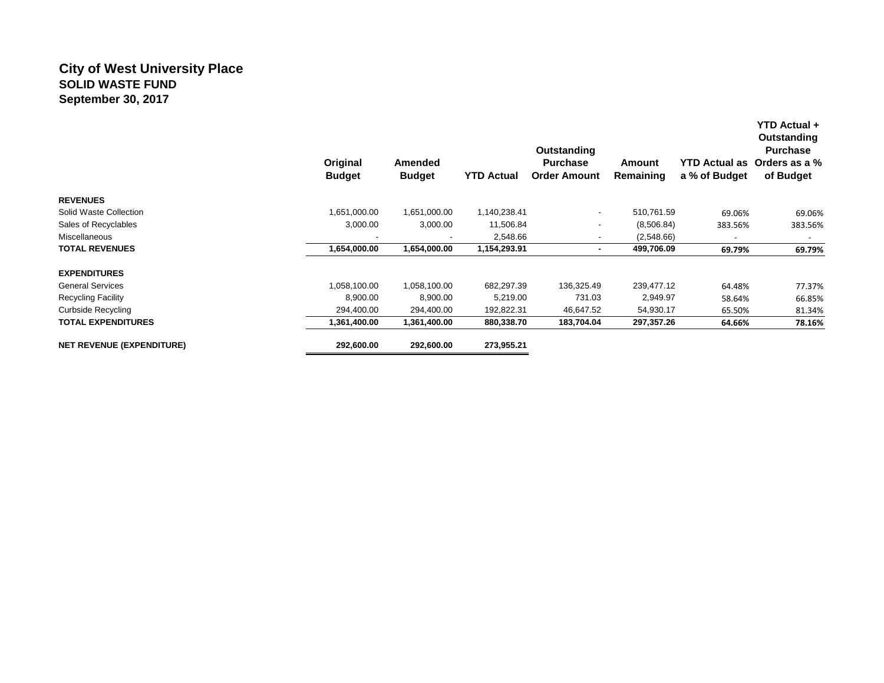### **City of West University Place SOLID WASTE FUND September 30, 2017**

|                                  | Original<br><b>Budget</b> | Amended<br><b>Budget</b> | <b>YTD Actual</b> | <b>Outstanding</b><br><b>Purchase</b><br><b>Order Amount</b> | Amount<br>Remaining | <b>YTD Actual as</b><br>a % of Budget | YTD Actual +<br>Outstanding<br><b>Purchase</b><br>Orders as a %<br>of Budget |
|----------------------------------|---------------------------|--------------------------|-------------------|--------------------------------------------------------------|---------------------|---------------------------------------|------------------------------------------------------------------------------|
| <b>REVENUES</b>                  |                           |                          |                   |                                                              |                     |                                       |                                                                              |
| Solid Waste Collection           | 1,651,000.00              | 1,651,000.00             | 1,140,238.41      | $\overline{\phantom{a}}$                                     | 510,761.59          | 69.06%                                | 69.06%                                                                       |
| Sales of Recyclables             | 3,000.00                  | 3,000.00                 | 11,506.84         |                                                              | (8,506.84)          | 383.56%                               | 383.56%                                                                      |
| Miscellaneous                    |                           |                          | 2,548.66          | -                                                            | (2,548.66)          |                                       |                                                                              |
| <b>TOTAL REVENUES</b>            | 1,654,000.00              | 1,654,000.00             | 1,154,293.91      | $\blacksquare$                                               | 499,706.09          | 69.79%                                | 69.79%                                                                       |
| <b>EXPENDITURES</b>              |                           |                          |                   |                                                              |                     |                                       |                                                                              |
| <b>General Services</b>          | 1,058,100.00              | 1,058,100.00             | 682,297.39        | 136,325.49                                                   | 239,477.12          | 64.48%                                | 77.37%                                                                       |
| <b>Recycling Facility</b>        | 8,900.00                  | 8,900.00                 | 5,219.00          | 731.03                                                       | 2,949.97            | 58.64%                                | 66.85%                                                                       |
| <b>Curbside Recycling</b>        | 294,400.00                | 294,400.00               | 192,822.31        | 46,647.52                                                    | 54,930.17           | 65.50%                                | 81.34%                                                                       |
| <b>TOTAL EXPENDITURES</b>        | 1,361,400.00              | 1,361,400.00             | 880,338.70        | 183,704.04                                                   | 297,357.26          | 64.66%                                | 78.16%                                                                       |
| <b>NET REVENUE (EXPENDITURE)</b> | 292,600.00                | 292,600.00               | 273,955.21        |                                                              |                     |                                       |                                                                              |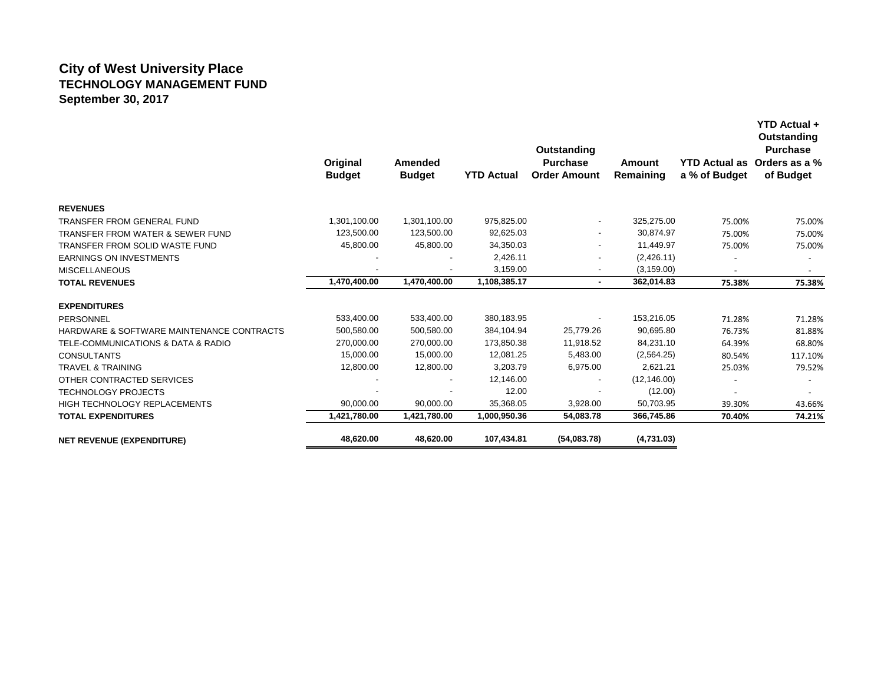## **City of West University Place TECHNOLOGY MANAGEMENT FUND September 30, 2017**

|                                           | Original<br><b>Budget</b> | Amended<br><b>Budget</b> | <b>YTD Actual</b> | Outstanding<br><b>Purchase</b><br><b>Order Amount</b> | Amount<br>Remaining | a % of Budget | Outstanding<br><b>Purchase</b><br>YTD Actual as Orders as a %<br>of Budget |
|-------------------------------------------|---------------------------|--------------------------|-------------------|-------------------------------------------------------|---------------------|---------------|----------------------------------------------------------------------------|
| <b>REVENUES</b>                           |                           |                          |                   |                                                       |                     |               |                                                                            |
| TRANSFER FROM GENERAL FUND                | 1,301,100.00              | 1,301,100.00             | 975,825.00        | $\overline{\phantom{a}}$                              | 325,275.00          | 75.00%        | 75.00%                                                                     |
| TRANSFER FROM WATER & SEWER FUND          | 123,500.00                | 123,500.00               | 92,625.03         | $\overline{\phantom{a}}$                              | 30.874.97           | 75.00%        | 75.00%                                                                     |
| TRANSFER FROM SOLID WASTE FUND            | 45,800.00                 | 45,800.00                | 34,350.03         |                                                       | 11,449.97           | 75.00%        | 75.00%                                                                     |
| <b>EARNINGS ON INVESTMENTS</b>            |                           |                          | 2,426.11          |                                                       | (2,426.11)          |               |                                                                            |
| <b>MISCELLANEOUS</b>                      |                           |                          | 3,159.00          | $\overline{\phantom{a}}$                              | (3, 159.00)         |               |                                                                            |
| <b>TOTAL REVENUES</b>                     | 1,470,400.00              | 1,470,400.00             | 1,108,385.17      | $\blacksquare$                                        | 362,014.83          | 75.38%        | 75.38%                                                                     |
| <b>EXPENDITURES</b>                       |                           |                          |                   |                                                       |                     |               |                                                                            |
| PERSONNEL                                 | 533,400.00                | 533,400.00               | 380,183.95        | $\overline{\phantom{a}}$                              | 153,216.05          | 71.28%        | 71.28%                                                                     |
| HARDWARE & SOFTWARE MAINTENANCE CONTRACTS | 500,580.00                | 500,580.00               | 384,104.94        | 25,779.26                                             | 90,695.80           | 76.73%        | 81.88%                                                                     |
| TELE-COMMUNICATIONS & DATA & RADIO        | 270,000.00                | 270,000.00               | 173,850.38        | 11,918.52                                             | 84,231.10           | 64.39%        | 68.80%                                                                     |
| <b>CONSULTANTS</b>                        | 15,000.00                 | 15,000.00                | 12,081.25         | 5,483.00                                              | (2, 564.25)         | 80.54%        | 117.10%                                                                    |
| <b>TRAVEL &amp; TRAINING</b>              | 12,800.00                 | 12,800.00                | 3,203.79          | 6,975.00                                              | 2,621.21            | 25.03%        | 79.52%                                                                     |
| OTHER CONTRACTED SERVICES                 |                           | $\blacksquare$           | 12,146.00         | $\overline{\phantom{a}}$                              | (12, 146.00)        |               |                                                                            |
| <b>TECHNOLOGY PROJECTS</b>                |                           |                          | 12.00             |                                                       | (12.00)             |               |                                                                            |
| HIGH TECHNOLOGY REPLACEMENTS              | 90,000.00                 | 90,000.00                | 35,368.05         | 3,928.00                                              | 50,703.95           | 39.30%        | 43.66%                                                                     |
| <b>TOTAL EXPENDITURES</b>                 | 1,421,780.00              | 1,421,780.00             | 1,000,950.36      | 54,083.78                                             | 366,745.86          | 70.40%        | 74.21%                                                                     |
| <b>NET REVENUE (EXPENDITURE)</b>          | 48,620.00                 | 48,620.00                | 107,434.81        | (54,083.78)                                           | (4,731.03)          |               |                                                                            |

**YTD Actual +**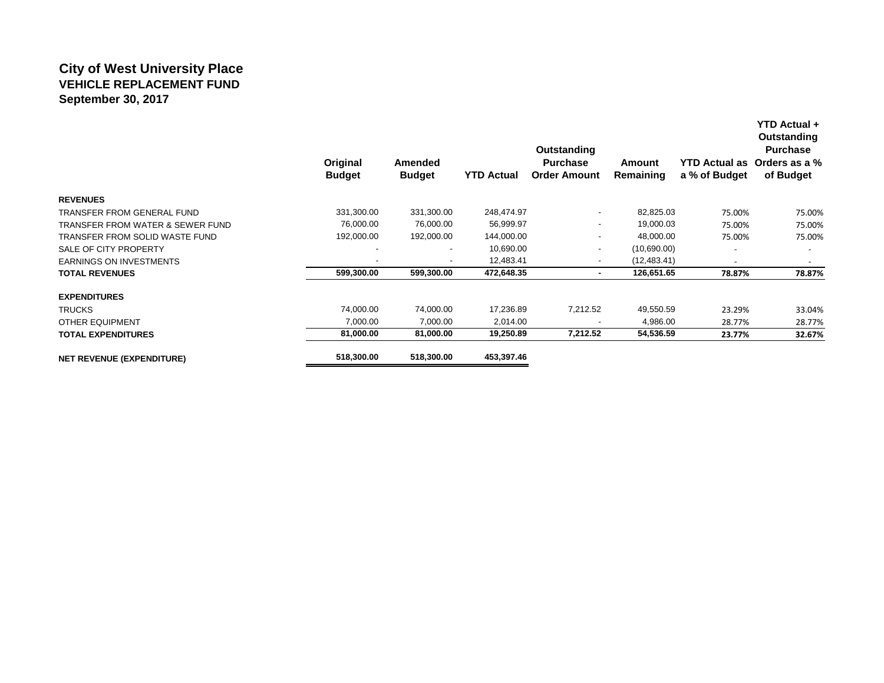## **City of West University Place VEHICLE REPLACEMENT FUND September 30, 2017**

|                                  | Original<br><b>Budget</b> | Amended<br><b>Budget</b> | <b>YTD Actual</b> | Outstanding<br><b>Purchase</b><br><b>Order Amount</b> | <b>Amount</b><br>Remaining | <b>YTD Actual as</b><br>a % of Budget | Outstanding<br><b>Purchase</b><br>Orders as a %<br>of Budget |
|----------------------------------|---------------------------|--------------------------|-------------------|-------------------------------------------------------|----------------------------|---------------------------------------|--------------------------------------------------------------|
| <b>REVENUES</b>                  |                           |                          |                   |                                                       |                            |                                       |                                                              |
| TRANSFER FROM GENERAL FUND       | 331,300.00                | 331,300.00               | 248,474.97        | $\overline{\phantom{a}}$                              | 82,825.03                  | 75.00%                                | 75.00%                                                       |
| TRANSFER FROM WATER & SEWER FUND | 76,000.00                 | 76,000.00                | 56,999.97         | $\overline{\phantom{a}}$                              | 19,000.03                  | 75.00%                                | 75.00%                                                       |
| TRANSFER FROM SOLID WASTE FUND   | 192,000.00                | 192,000.00               | 144,000.00        | $\overline{\phantom{a}}$                              | 48,000.00                  | 75.00%                                | 75.00%                                                       |
| SALE OF CITY PROPERTY            |                           |                          | 10,690.00         | $\overline{\phantom{a}}$                              | (10,690.00)                |                                       |                                                              |
| <b>EARNINGS ON INVESTMENTS</b>   | $\overline{\phantom{a}}$  | $\overline{\phantom{a}}$ | 12,483.41         | $\overline{\phantom{a}}$                              | (12, 483.41)               |                                       |                                                              |
| <b>TOTAL REVENUES</b>            | 599,300.00                | 599,300.00               | 472,648.35        | $\blacksquare$                                        | 126,651.65                 | 78.87%                                | 78.87%                                                       |
| <b>EXPENDITURES</b>              |                           |                          |                   |                                                       |                            |                                       |                                                              |
| <b>TRUCKS</b>                    | 74,000.00                 | 74,000.00                | 17,236.89         | 7,212.52                                              | 49,550.59                  | 23.29%                                | 33.04%                                                       |
| <b>OTHER EQUIPMENT</b>           | 7,000.00                  | 7,000.00                 | 2,014.00          |                                                       | 4,986.00                   | 28.77%                                | 28.77%                                                       |
| <b>TOTAL EXPENDITURES</b>        | 81,000.00                 | 81,000.00                | 19,250.89         | 7,212.52                                              | 54,536.59                  | 23.77%                                | 32.67%                                                       |
| <b>NET REVENUE (EXPENDITURE)</b> | 518,300.00                | 518,300.00               | 453,397.46        |                                                       |                            |                                       |                                                              |

**YTD Actual +**